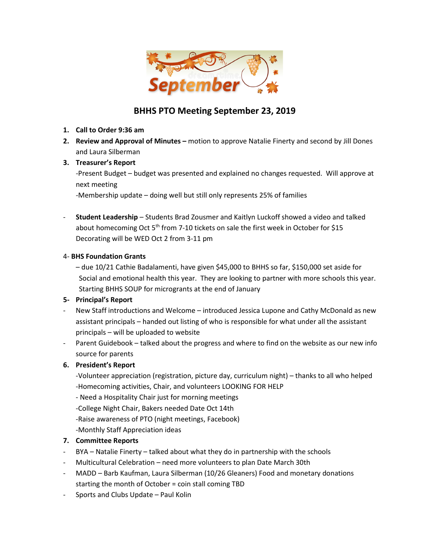

## **BHHS PTO Meeting September 23, 2019**

- **1. Call to Order 9:36 am**
- **2. Review and Approval of Minutes –** motion to approve Natalie Finerty and second by Jill Dones and Laura Silberman
- **3. Treasurer's Report**

-Present Budget – budget was presented and explained no changes requested. Will approve at next meeting

-Membership update – doing well but still only represents 25% of families

- **Student Leadership** – Students Brad Zousmer and Kaitlyn Luckoff showed a video and talked about homecoming Oct 5<sup>th</sup> from 7-10 tickets on sale the first week in October for \$15 Decorating will be WED Oct 2 from 3-11 pm

#### 4- **BHS Foundation Grants**

– due 10/21 Cathie Badalamenti, have given \$45,000 to BHHS so far, \$150,000 set aside for Social and emotional health this year. They are looking to partner with more schools this year. Starting BHHS SOUP for microgrants at the end of January

#### **5- Principal's Report**

- New Staff introductions and Welcome introduced Jessica Lupone and Cathy McDonald as new assistant principals – handed out listing of who is responsible for what under all the assistant principals – will be uploaded to website
- Parent Guidebook talked about the progress and where to find on the website as our new info source for parents

#### **6. President's Report**

-Volunteer appreciation (registration, picture day, curriculum night) – thanks to all who helped -Homecoming activities, Chair, and volunteers LOOKING FOR HELP

- Need a Hospitality Chair just for morning meetings
- -College Night Chair, Bakers needed Date Oct 14th
- -Raise awareness of PTO (night meetings, Facebook)

-Monthly Staff Appreciation ideas

#### **7. Committee Reports**

- BYA Natalie Finerty talked about what they do in partnership with the schools
- Multicultural Celebration need more volunteers to plan Date March 30th
- MADD Barb Kaufman, Laura Silberman (10/26 Gleaners) Food and monetary donations starting the month of October = coin stall coming TBD
- Sports and Clubs Update Paul Kolin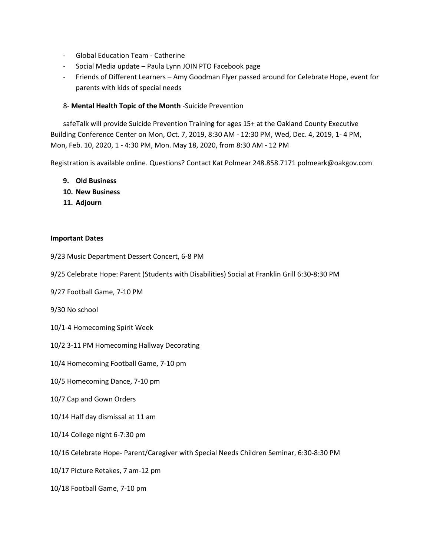- Global Education Team Catherine
- Social Media update Paula Lynn JOIN PTO Facebook page
- Friends of Different Learners Amy Goodman Flyer passed around for Celebrate Hope, event for parents with kids of special needs

#### 8- **Mental Health Topic of the Month** -Suicide Prevention

safeTalk will provide Suicide Prevention Training for ages 15+ at the Oakland County Executive Building Conference Center on Mon, Oct. 7, 2019, 8:30 AM - 12:30 PM, Wed, Dec. 4, 2019, 1- 4 PM, Mon, Feb. 10, 2020, 1 - 4:30 PM, Mon. May 18, 2020, from 8:30 AM - 12 PM

Registration is available online. Questions? Contact Kat Polmear 248.858.7171 polmeark@oakgov.com

- **9. Old Business**
- **10. New Business**
- **11. Adjourn**

#### **Important Dates**

- 9/23 Music Department Dessert Concert, 6-8 PM
- 9/25 Celebrate Hope: Parent (Students with Disabilities) Social at Franklin Grill 6:30-8:30 PM
- 9/27 Football Game, 7-10 PM
- 9/30 No school
- 10/1-4 Homecoming Spirit Week
- 10/2 3-11 PM Homecoming Hallway Decorating
- 10/4 Homecoming Football Game, 7-10 pm
- 10/5 Homecoming Dance, 7-10 pm
- 10/7 Cap and Gown Orders
- 10/14 Half day dismissal at 11 am
- 10/14 College night 6-7:30 pm
- 10/16 Celebrate Hope- Parent/Caregiver with Special Needs Children Seminar, 6:30-8:30 PM
- 10/17 Picture Retakes, 7 am-12 pm
- 10/18 Football Game, 7-10 pm